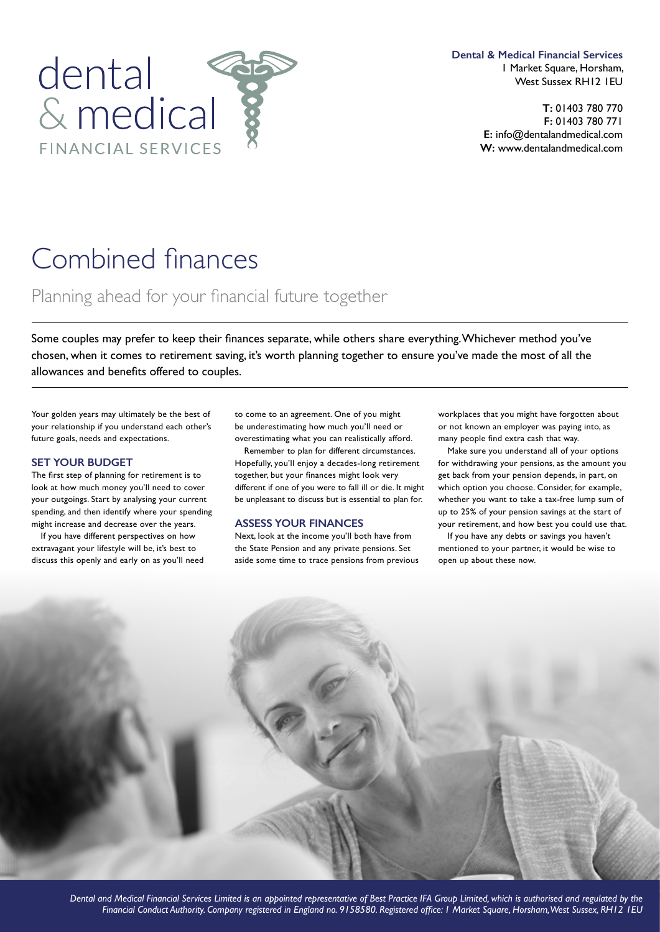

**Dental & Medical Financial Services** 1 Market Square, Horsham, West Sussex RH12 1EU

> **T:** 01403 780 770 **F:** 01403 780 771 **E:** info@dentalandmedical.com **W:** www.dentalandmedical.com

# Combined fnances

## Planning ahead for your fnancial future together

Some couples may prefer to keep their fnances separate, while others share everything. Whichever method you've chosen, when it comes to retirement saving, it's worth planning together to ensure you've made the most of all the allowances and benefts offered to couples.

Your golden years may ultimately be the best of your relationship if you understand each other's future goals, needs and expectations.

#### **SET YOUR BUDGET**

The first step of planning for retirement is to look at how much money you'll need to cover your outgoings. Start by analysing your current spending, and then identify where your spending might increase and decrease over the years.

If you have different perspectives on how extravagant your lifestyle will be, it's best to discuss this openly and early on as you'll need to come to an agreement. One of you might be underestimating how much you'll need or overestimating what you can realistically afford.

Remember to plan for different circumstances. Hopefully, you'll enjoy a decades-long retirement together, but your finances might look very different if one of you were to fall ill or die. It might be unpleasant to discuss but is essential to plan for.

#### **ASSESS YOUR FINANCES**

Next, look at the income you'll both have from the State Pension and any private pensions. Set aside some time to trace pensions from previous workplaces that you might have forgotten about or not known an employer was paying into, as many people fnd extra cash that way.

Make sure you understand all of your options for withdrawing your pensions, as the amount you get back from your pension depends, in part, on which option you choose. Consider, for example, whether you want to take a tax-free lump sum of up to 25% of your pension savings at the start of your retirement, and how best you could use that.

If you have any debts or savings you haven't mentioned to your partner, it would be wise to open up about these now.



*Dental and Medical Financial Services Limited is an appointed representative of Best Practice IFA Group Limited, which is authorised and regulated by the Financial Conduct Authority. Company registered in England no. 9158580. Registered offce: 1 Market Square, Horsham, West Sussex, RH12 1EU*